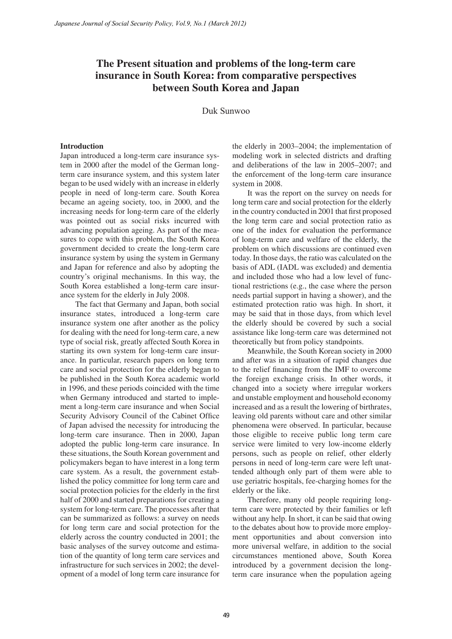# **The Present situation and problems of the long-term care insurance in South Korea: from comparative perspectives between South Korea and Japan**

Duk Sunwoo

#### **Introduction**

Japan introduced a long-term care insurance system in 2000 after the model of the German longterm care insurance system, and this system later began to be used widely with an increase in elderly people in need of long-term care. South Korea became an ageing society, too, in 2000, and the increasing needs for long-term care of the elderly was pointed out as social risks incurred with advancing population ageing. As part of the measures to cope with this problem, the South Korea government decided to create the long-term care insurance system by using the system in Germany and Japan for reference and also by adopting the country's original mechanisms. In this way, the South Korea established a long-term care insurance system for the elderly in July 2008.

The fact that Germany and Japan, both social insurance states, introduced a long-term care insurance system one after another as the policy for dealing with the need for long-term care, a new type of social risk, greatly affected South Korea in starting its own system for long-term care insurance. In particular, research papers on long term care and social protection for the elderly began to be published in the South Korea academic world in 1996, and these periods coincided with the time when Germany introduced and started to implement a long-term care insurance and when Social Security Advisory Council of the Cabinet Office of Japan advised the necessity for introducing the long-term care insurance. Then in 2000, Japan adopted the public long-term care insurance. In these situations, the South Korean government and policymakers began to have interest in a long term care system. As a result, the government established the policy committee for long term care and social protection policies for the elderly in the first half of 2000 and started preparations for creating a system for long-term care. The processes after that can be summarized as follows: a survey on needs for long term care and social protection for the elderly across the country conducted in 2001; the basic analyses of the survey outcome and estimation of the quantity of long term care services and infrastructure for such services in 2002; the development of a model of long term care insurance for *Japanese Journal of Social Security Policy, Vol.8, No.1 (March 2012)*<br> **The Present situation and proble insurance in South Korea : from the comparison of the security of the Comparison of the Comparison of the Comparison** 

the elderly in 2003–2004; the implementation of modeling work in selected districts and drafting and deliberations of the law in 2005–2007; and the enforcement of the long-term care insurance system in 2008.

It was the report on the survey on needs for long term care and social protection for the elderly in the country conducted in 2001 that first proposed the long term care and social protection ratio as one of the index for evaluation the performance of long-term care and welfare of the elderly, the problem on which discussions are continued even today. In those days, the ratio was calculated on the basis of ADL (IADL was excluded) and dementia and included those who had a low level of functional restrictions (e.g., the case where the person needs partial support in having a shower), and the estimated protection ratio was high. In short, it may be said that in those days, from which level the elderly should be covered by such a social assistance like long-term care was determined not theoretically but from policy standpoints.

Meanwhile, the South Korean society in 2000 and after was in a situation of rapid changes due to the relief financing from the IMF to overcome the foreign exchange crisis. In other words, it changed into a society where irregular workers and unstable employment and household economy increased and as a result the lowering of birthrates, leaving old parents without care and other similar phenomena were observed. In particular, because those eligible to receive public long term care service were limited to very low-income elderly persons, such as people on relief, other elderly persons in need of long-term care were left unattended although only part of them were able to use geriatric hospitals, fee-charging homes for the elderly or the like.

Therefore, many old people requiring longterm care were protected by their families or left without any help. In short, it can be said that owing to the debates about how to provide more employment opportunities and about conversion into more universal welfare, in addition to the social circumstances mentioned above, South Korea introduced by a government decision the longterm care insurance when the population ageing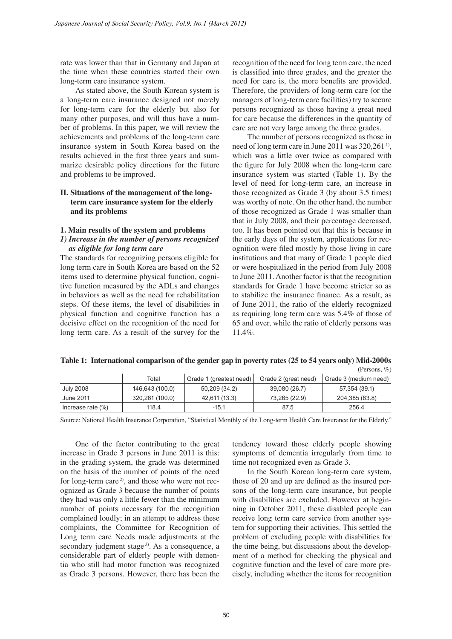rate was lower than that in Germany and Japan at the time when these countries started their own long-term care insurance system.

As stated above, the South Korean system is a long-term care insurance designed not merely for long-term care for the elderly but also for many other purposes, and will thus have a number of problems. In this paper, we will review the achievements and problems of the long-term care insurance system in South Korea based on the results achieved in the first three years and summarize desirable policy directions for the future and problems to be improved.

# **II. Situations of the management of the longterm care insurance system for the elderly and its problems**

#### **1. Main results of the system and problems**

## *1) Increase in the number of persons recognized as eligible for long term care*

The standards for recognizing persons eligible for long term care in South Korea are based on the 52 items used to determine physical function, cognitive function measured by the ADLs and changes in behaviors as well as the need for rehabilitation steps. Of these items, the level of disabilities in physical function and cognitive function has a decisive effect on the recognition of the need for long term care. As a result of the survey for the recognition of the need for long term care, the need is classified into three grades, and the greater the need for care is, the more benefits are provided. Therefore, the providers of long-term care (or the managers of long-term care facilities) try to secure persons recognized as those having a great need for care because the differences in the quantity of care are not very large among the three grades.

The number of persons recognized as those in need of long term care in June 2011 was 320,261<sup>1</sup>, which was a little over twice as compared with the figure for July 2008 when the long-term care insurance system was started (Table 1). By the level of need for long-term care, an increase in those recognized as Grade 3 (by about 3.5 times) was worthy of note. On the other hand, the number of those recognized as Grade 1 was smaller than that in July 2008, and their percentage decreased, too. It has been pointed out that this is because in the early days of the system, applications for recognition were filed mostly by those living in care institutions and that many of Grade 1 people died or were hospitalized in the period from July 2008 to June 2011. Another factor is that the recognition standards for Grade 1 have become stricter so as to stabilize the insurance finance. As a result, as of June 2011, the ratio of the elderly recognized as requiring long term care was 5.4% of those of 65 and over, while the ratio of elderly persons was 11.4%.

|                      |                 |                         |                      | (PEISOIIS, 70)        |
|----------------------|-----------------|-------------------------|----------------------|-----------------------|
|                      | Total           | Grade 1 (greatest need) | Grade 2 (great need) | Grade 3 (medium need) |
| July 2008            | 146,643 (100.0) | 50.209 (34.2)           | 39,080 (26.7)        | 57,354 (39.1)         |
| June 2011            | 320,261 (100.0) | 42.611 (13.3)           | 73.265 (22.9)        | 204,385 (63.8)        |
| Increase rate $(\%)$ | 118.4           | $-15.1$                 | 87.5                 | 256.4                 |

**Table 1: International comparison of the gender gap in poverty rates (25 to 54 years only) Mid-2000s** (Persons, %)

Source: National Health Insurance Corporation, "Statistical Monthly of the Long-term Health Care Insurance for the Elderly."

One of the factor contributing to the great increase in Grade 3 persons in June 2011 is this: in the grading system, the grade was determined on the basis of the number of points of the need for long-term care<sup>2)</sup>, and those who were not recognized as Grade 3 because the number of points they had was only a little fewer than the minimum number of points necessary for the recognition complained loudly; in an attempt to address these complaints, the Committee for Recognition of Long term care Needs made adjustments at the secondary judgment stage<sup>3)</sup>. As a consequence, a considerable part of elderly people with dementia who still had motor function was recognized as Grade 3 persons. However, there has been the *Japanese Journal of Social Security Policy, Vol.2, No.1 (March 2012)*<br>
rate was lower than that in Germany and Japan at reco<br>
the time when these countries started their own is elected<br>
iong-term care insurance system.<br>
T

tendency toward those elderly people showing symptoms of dementia irregularly from time to time not recognized even as Grade 3.

In the South Korean long-term care system, those of 20 and up are defined as the insured persons of the long-term care insurance, but people with disabilities are excluded. However at beginning in October 2011, these disabled people can receive long term care service from another system for supporting their activities. This settled the problem of excluding people with disabilities for the time being, but discussions about the development of a method for checking the physical and cognitive function and the level of care more precisely, including whether the items for recognition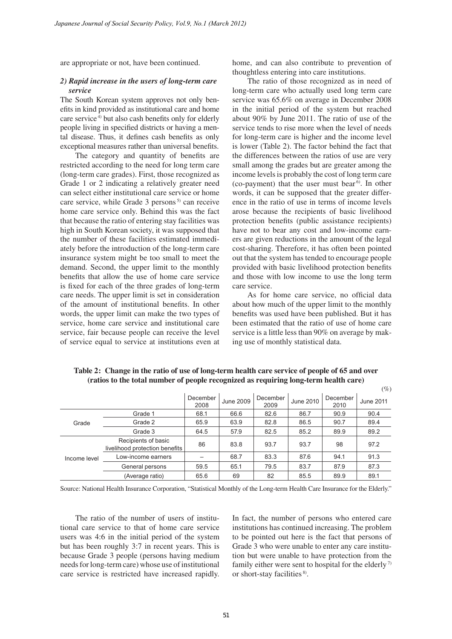are appropriate or not, have been continued.

## *2) Rapid increase in the users of long-term care service*

The South Korean system approves not only benefits in kind provided as institutional care and home care service<sup>4)</sup> but also cash benefits only for elderly people living in specified districts or having a mental disease. Thus, it defines cash benefits as only exceptional measures rather than universal benefits.

The category and quantity of benefits are restricted according to the need for long term care (long-term care grades). First, those recognized as Grade 1 or 2 indicating a relatively greater need can select either institutional care service or home care service, while Grade  $3$  persons<sup> $5)$ </sup> can receive home care service only. Behind this was the fact that because the ratio of entering stay facilities was high in South Korean society, it was supposed that the number of these facilities estimated immediately before the introduction of the long-term care insurance system might be too small to meet the demand. Second, the upper limit to the monthly benefits that allow the use of home care service is fixed for each of the three grades of long-term care needs. The upper limit is set in consideration of the amount of institutional benefits. In other words, the upper limit can make the two types of service, home care service and institutional care service, fair because people can receive the level of service equal to service at institutions even at *Japanese Journal of Social Security Policy, Vol.9, No.1 (March 2012)*<br>
are appropriate or not, have been continued,<br>
box<br>
2) **Rapid increase in the users of long-term care**<br>
too home<br>
crise service but also consistenes pe

home, and can also contribute to prevention of thoughtless entering into care institutions.

The ratio of those recognized as in need of long-term care who actually used long term care service was 65.6% on average in December 2008 in the initial period of the system but reached about 90% by June 2011. The ratio of use of the service tends to rise more when the level of needs for long-term care is higher and the income level is lower (Table 2). The factor behind the fact that the differences between the ratios of use are very small among the grades but are greater among the income levels is probably the cost of long term care (co-payment) that the user must bear<sup> $6$ </sup>. In other words, it can be supposed that the greater difference in the ratio of use in terms of income levels arose because the recipients of basic livelihood protection benefits (public assistance recipients) have not to bear any cost and low-income earners are given reductions in the amount of the legal cost-sharing. Therefore, it has often been pointed out that the system has tended to encourage people provided with basic livelihood protection benefits and those with low income to use the long term care service.

As for home care service, no official data about how much of the upper limit to the monthly benefits was used have been published. But it has been estimated that the ratio of use of home care service is a little less than 90% on average by making use of monthly statistical data.

 $(0)$ 

|              |                                                       | December<br>2008 | June 2009 | December<br>2009 | June 2010 | December<br>2010 | June 2011 |
|--------------|-------------------------------------------------------|------------------|-----------|------------------|-----------|------------------|-----------|
| Grade        | Grade 1                                               | 68.1             | 66.6      | 82.6             | 86.7      | 90.9             | 90.4      |
|              | Grade 2                                               | 65.9             | 63.9      | 82.8             | 86.5      | 90.7             | 89.4      |
|              | Grade 3                                               | 64.5             | 57.9      | 82.5             | 85.2      | 89.9             | 89.2      |
| Income level | Recipients of basic<br>livelihood protection benefits | 86               | 83.8      | 93.7             | 93.7      | 98               | 97.2      |
|              | Low-income earners                                    |                  | 68.7      | 83.3             | 87.6      | 94.1             | 91.3      |
|              | General persons                                       | 59.5             | 65.1      | 79.5             | 83.7      | 87.9             | 87.3      |
|              | (Average ratio)                                       | 65.6             | 69        | 82               | 85.5      | 89.9             | 89.1      |

**Table 2: Change in the ratio of use of long-term health care service of people of 65 and over (ratios to the total number of people recognized as requiring long-term health care)**

Source: National Health Insurance Corporation, "Statistical Monthly of the Long-term Health Care Insurance for the Elderly."

The ratio of the number of users of institutional care service to that of home care service users was 4:6 in the initial period of the system but has been roughly 3:7 in recent years. This is because Grade 3 people (persons having medium needs for long-term care) whose use of institutional care service is restricted have increased rapidly. In fact, the number of persons who entered care institutions has continued increasing. The problem to be pointed out here is the fact that persons of Grade 3 who were unable to enter any care institution but were unable to have protection from the family either were sent to hospital for the elderly 7) or short-stay facilities<sup>8)</sup>.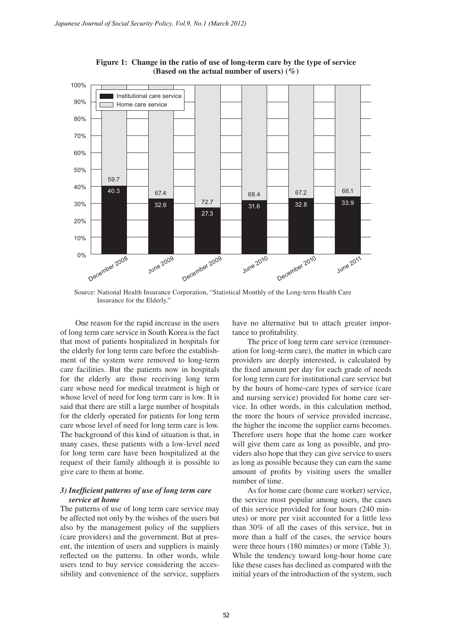

**Figure 1: Change in the ratio of use of long-term care by the type of service (Based on the actual number of users) (%)**

Source: National Health Insurance Corporation, "Statistical Monthly of the Long-term Health Care Insurance for the Elderly."

One reason for the rapid increase in the users of long term care service in South Korea is the fact that most of patients hospitalized in hospitals for the elderly for long term care before the establishment of the system were removed to long-term care facilities. But the patients now in hospitals for the elderly are those receiving long term care whose need for medical treatment is high or whose level of need for long term care is low. It is said that there are still a large number of hospitals for the elderly operated for patients for long term care whose level of need for long term care is low. The background of this kind of situation is that, in many cases, these patients with a low-level need for long term care have been hospitalized at the request of their family although it is possible to give care to them at home.

# *3) Inefficient patterns of use of long term care service at home*

The patterns of use of long term care service may be affected not only by the wishes of the users but also by the management policy of the suppliers (care providers) and the government. But at present, the intention of users and suppliers is mainly reflected on the patterns. In other words, while users tend to buy service considering the accessibility and convenience of the service, suppliers have no alternative but to attach greater importance to profitability.

The price of long term care service (remuneration for long-term care), the matter in which care providers are deeply interested, is calculated by the fixed amount per day for each grade of needs for long term care for institutional care service but by the hours of home-care types of service (care and nursing service) provided for home care service. In other words, in this calculation method, the more the hours of service provided increase, the higher the income the supplier earns becomes. Therefore users hope that the home care worker will give them care as long as possible, and providers also hope that they can give service to users as long as possible because they can earn the same amount of profits by visiting users the smaller number of time.

As for home care (home care worker) service, the service most popular among users, the cases of this service provided for four hours (240 minutes) or more per visit accounted for a little less than 30% of all the cases of this service, but in more than a half of the cases, the service hours were three hours (180 minutes) or more (Table 3). While the tendency toward long-hour home care like these cases has declined as compared with the initial years of the introduction of the system, such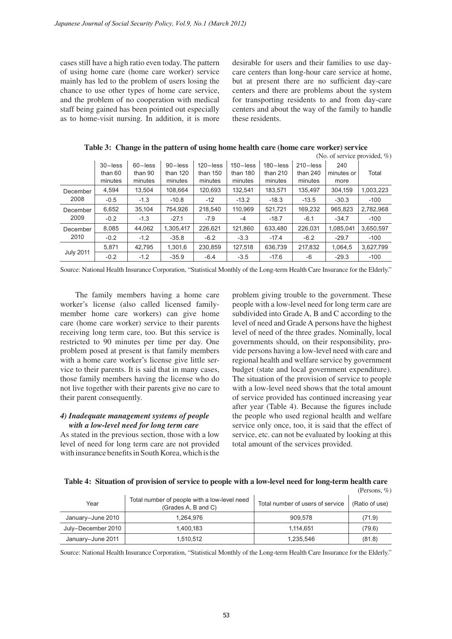| cases still have a high ratio even today. The pattern<br>of using home care (home care worker) service<br>mainly has led to the problem of users losing the<br>chance to use other types of home care service,<br>and the problem of no cooperation with medical<br>staff being gained has been pointed out especially<br>as to home-visit nursing. In addition, it is more                                                                                                                                                                                                                                                                                                                                                                                                                                                                                                                                                                                                                                                                                                                                                                                                                                                                                                                                                                                                                                                                                                                                                                                                                            |                                  |                                  | these residents.                                                                                                             | but at present there are no sufficient day-care<br>centers and about the way of the family to handle |                                                                                                      |                                                                                     | desirable for users and their families to use day-<br>care centers than long-hour care service at home,<br>centers and there are problems about the system<br>for transporting residents to and from day-care |                           |                                           |
|--------------------------------------------------------------------------------------------------------------------------------------------------------------------------------------------------------------------------------------------------------------------------------------------------------------------------------------------------------------------------------------------------------------------------------------------------------------------------------------------------------------------------------------------------------------------------------------------------------------------------------------------------------------------------------------------------------------------------------------------------------------------------------------------------------------------------------------------------------------------------------------------------------------------------------------------------------------------------------------------------------------------------------------------------------------------------------------------------------------------------------------------------------------------------------------------------------------------------------------------------------------------------------------------------------------------------------------------------------------------------------------------------------------------------------------------------------------------------------------------------------------------------------------------------------------------------------------------------------|----------------------------------|----------------------------------|------------------------------------------------------------------------------------------------------------------------------|------------------------------------------------------------------------------------------------------|------------------------------------------------------------------------------------------------------|-------------------------------------------------------------------------------------|---------------------------------------------------------------------------------------------------------------------------------------------------------------------------------------------------------------|---------------------------|-------------------------------------------|
|                                                                                                                                                                                                                                                                                                                                                                                                                                                                                                                                                                                                                                                                                                                                                                                                                                                                                                                                                                                                                                                                                                                                                                                                                                                                                                                                                                                                                                                                                                                                                                                                        |                                  |                                  |                                                                                                                              |                                                                                                      |                                                                                                      | Table 3: Change in the pattern of using home health care (home care worker) service |                                                                                                                                                                                                               |                           |                                           |
|                                                                                                                                                                                                                                                                                                                                                                                                                                                                                                                                                                                                                                                                                                                                                                                                                                                                                                                                                                                                                                                                                                                                                                                                                                                                                                                                                                                                                                                                                                                                                                                                        | $30$ -less<br>than 60<br>minutes | $60$ -less<br>than 90<br>minutes | 90-less<br>than 120<br>minutes                                                                                               | $120 - less$<br>than 150<br>minutes                                                                  | $150 - less$<br>than 180<br>minutes                                                                  | $180 - less$<br>than 210<br>minutes                                                 | $210 - less$<br>than 240<br>minutes                                                                                                                                                                           | 240<br>minutes or<br>more | (No. of service provided, $\%$ )<br>Total |
| December                                                                                                                                                                                                                                                                                                                                                                                                                                                                                                                                                                                                                                                                                                                                                                                                                                                                                                                                                                                                                                                                                                                                                                                                                                                                                                                                                                                                                                                                                                                                                                                               | 4,594                            | 13,504                           | 108,664                                                                                                                      | 120,693                                                                                              | 132,541                                                                                              | 183,571                                                                             | 135,497                                                                                                                                                                                                       | 304,159                   | 1,003,223                                 |
| 2008                                                                                                                                                                                                                                                                                                                                                                                                                                                                                                                                                                                                                                                                                                                                                                                                                                                                                                                                                                                                                                                                                                                                                                                                                                                                                                                                                                                                                                                                                                                                                                                                   | $-0.5$                           | $-1.3$                           | $-10.8$                                                                                                                      | $-12$                                                                                                | $-13.2$                                                                                              | $-18.3$                                                                             | $-13.5$                                                                                                                                                                                                       | $-30.3$                   | $-100$                                    |
| December                                                                                                                                                                                                                                                                                                                                                                                                                                                                                                                                                                                                                                                                                                                                                                                                                                                                                                                                                                                                                                                                                                                                                                                                                                                                                                                                                                                                                                                                                                                                                                                               | 6,652                            | 35,104                           | 754,926                                                                                                                      | 218,540                                                                                              | 110,969                                                                                              | 521,721                                                                             | 169,232                                                                                                                                                                                                       | 965,823                   | 2,782,968                                 |
| 2009                                                                                                                                                                                                                                                                                                                                                                                                                                                                                                                                                                                                                                                                                                                                                                                                                                                                                                                                                                                                                                                                                                                                                                                                                                                                                                                                                                                                                                                                                                                                                                                                   | $-0.2$                           | $-1.3$                           | $-27.1$                                                                                                                      | $-7.9$                                                                                               | $-4$                                                                                                 | $-18.7$                                                                             | $-6.1$                                                                                                                                                                                                        | $-34.7$                   | $-100$                                    |
| December<br>2010                                                                                                                                                                                                                                                                                                                                                                                                                                                                                                                                                                                                                                                                                                                                                                                                                                                                                                                                                                                                                                                                                                                                                                                                                                                                                                                                                                                                                                                                                                                                                                                       | 8,085                            | 44,062                           | 1,305,417                                                                                                                    | 226,621                                                                                              | 121,860                                                                                              | 633,480                                                                             | 226,031                                                                                                                                                                                                       | 1,085,041                 | 3,650,597                                 |
|                                                                                                                                                                                                                                                                                                                                                                                                                                                                                                                                                                                                                                                                                                                                                                                                                                                                                                                                                                                                                                                                                                                                                                                                                                                                                                                                                                                                                                                                                                                                                                                                        | $-0.2$<br>5,871                  | $-1.2$<br>42,795                 | $-35.8$<br>1,301,6                                                                                                           | $-6.2$<br>230,859                                                                                    | $-3.3$<br>127,518                                                                                    | $-17.4$<br>636,739                                                                  | $-6.2$<br>217,832                                                                                                                                                                                             | $-29.7$<br>1,064,5        | $-100$<br>3,627,799                       |
| <b>July 2011</b>                                                                                                                                                                                                                                                                                                                                                                                                                                                                                                                                                                                                                                                                                                                                                                                                                                                                                                                                                                                                                                                                                                                                                                                                                                                                                                                                                                                                                                                                                                                                                                                       | $-0.2$                           | $-1.2$                           | $-35.9$                                                                                                                      | $-6.4$                                                                                               | $-3.5$                                                                                               | $-17.6$                                                                             | -6                                                                                                                                                                                                            | $-29.3$                   | $-100$                                    |
| subdivided into Grade A, B and C according to the<br>member home care workers) can give home<br>care (home care worker) service to their parents<br>level of need and Grade A persons have the highest<br>receiving long term care, too. But this service is<br>level of need of the three grades. Nominally, local<br>governments should, on their responsibility, pro-<br>restricted to 90 minutes per time per day. One<br>problem posed at present is that family members<br>vide persons having a low-level need with care and<br>with a home care worker's license give little ser-<br>regional health and welfare service by government<br>vice to their parents. It is said that in many cases,<br>budget (state and local government expenditure).<br>The situation of the provision of service to people<br>those family members having the license who do<br>not live together with their parents give no care to<br>with a low-level need shows that the total amount<br>of service provided has continued increasing year<br>their parent consequently.<br>after year (Table 4). Because the figures include<br>the people who used regional health and welfare<br>4) Inadequate management systems of people<br>with a low-level need for long term care<br>service only once, too, it is said that the effect of<br>As stated in the previous section, those with a low<br>service, etc. can not be evaluated by looking at this<br>level of need for long term care are not provided<br>total amount of the services provided.<br>with insurance benefits in South Korea, which is the |                                  |                                  |                                                                                                                              |                                                                                                      | Table 4: Situation of provision of service to people with a low-level need for long-term health care |                                                                                     |                                                                                                                                                                                                               |                           |                                           |
|                                                                                                                                                                                                                                                                                                                                                                                                                                                                                                                                                                                                                                                                                                                                                                                                                                                                                                                                                                                                                                                                                                                                                                                                                                                                                                                                                                                                                                                                                                                                                                                                        |                                  |                                  | Total number of people with a low-level need                                                                                 |                                                                                                      |                                                                                                      |                                                                                     |                                                                                                                                                                                                               |                           | (Persons, %)                              |
| Year                                                                                                                                                                                                                                                                                                                                                                                                                                                                                                                                                                                                                                                                                                                                                                                                                                                                                                                                                                                                                                                                                                                                                                                                                                                                                                                                                                                                                                                                                                                                                                                                   |                                  |                                  | (Grades A, B and C)                                                                                                          |                                                                                                      |                                                                                                      | Total number of users of service                                                    |                                                                                                                                                                                                               |                           | (Ratio of use)                            |
| January-June 2010                                                                                                                                                                                                                                                                                                                                                                                                                                                                                                                                                                                                                                                                                                                                                                                                                                                                                                                                                                                                                                                                                                                                                                                                                                                                                                                                                                                                                                                                                                                                                                                      |                                  |                                  | 1,264,976                                                                                                                    |                                                                                                      |                                                                                                      |                                                                                     | 909,578                                                                                                                                                                                                       |                           | (71.9)                                    |
| July-December 2010                                                                                                                                                                                                                                                                                                                                                                                                                                                                                                                                                                                                                                                                                                                                                                                                                                                                                                                                                                                                                                                                                                                                                                                                                                                                                                                                                                                                                                                                                                                                                                                     |                                  |                                  | 1,400,183<br>1,510,512                                                                                                       |                                                                                                      |                                                                                                      |                                                                                     | 1,114,651<br>1,235,546                                                                                                                                                                                        |                           | (79.6)<br>(81.8)                          |
| January-June 2011                                                                                                                                                                                                                                                                                                                                                                                                                                                                                                                                                                                                                                                                                                                                                                                                                                                                                                                                                                                                                                                                                                                                                                                                                                                                                                                                                                                                                                                                                                                                                                                      |                                  |                                  | Source: National Health Insurance Corporation, "Statistical Monthly of the Long-term Health Care Insurance for the Elderly." |                                                                                                      |                                                                                                      |                                                                                     |                                                                                                                                                                                                               |                           |                                           |

**Table 3: Change in the pattern of using home health care (home care worker) service**  $(1, 1, \alpha)$ 

#### *4) Inadequate management systems of people with a low-level need for long term care*

|                    |                                                                     |                                  | (Persons, $\%$ ) |
|--------------------|---------------------------------------------------------------------|----------------------------------|------------------|
| Year               | Total number of people with a low-level need<br>(Grades A, B and C) | Total number of users of service | (Ratio of use)   |
| January-June 2010  | 1.264.976                                                           | 909,578                          | (71.9)           |
| July-December 2010 | 1.400.183                                                           | 1,114,651                        | (79.6)           |
| January-June 2011  | 1,510,512                                                           | 1,235,546                        | (81.8)           |

**Table 4: Situation of provision of service to people with a low-level need for long-term health care**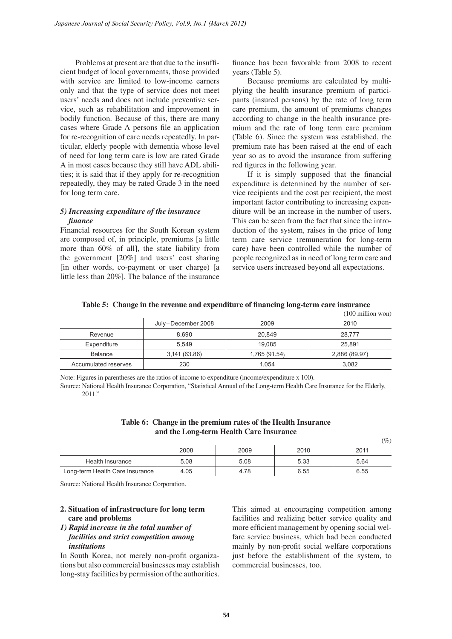Problems at present are that due to the insufficient budget of local governments, those provided with service are limited to low-income earners only and that the type of service does not meet users' needs and does not include preventive service, such as rehabilitation and improvement in bodily function. Because of this, there are many cases where Grade A persons file an application for re-recognition of care needs repeatedly. In particular, elderly people with dementia whose level of need for long term care is low are rated Grade A in most cases because they still have ADL abilities; it is said that if they apply for re-recognition repeatedly, they may be rated Grade 3 in the need for long term care. *Japanese Journal of Social Security Policy, Vol.8, No.1 (March 2012)*<br>
Problems at present are that due to the insuffi-<br>
cient budget of local governments, those provided year<br>
with service are limited to low-income earne

# *5) Increasing expenditure of the insurance finance*

Financial resources for the South Korean system are composed of, in principle, premiums [a little more than 60% of all], the state liability from the government [20%] and users' cost sharing [in other words, co-payment or user charge) [a little less than 20%]. The balance of the insurance

finance has been favorable from 2008 to recent years (Table 5).

Because premiums are calculated by multiplying the health insurance premium of participants (insured persons) by the rate of long term care premium, the amount of premiums changes according to change in the health insurance premium and the rate of long term care premium (Table 6). Since the system was established, the premium rate has been raised at the end of each year so as to avoid the insurance from suffering red figures in the following year.

If it is simply supposed that the financial expenditure is determined by the number of service recipients and the cost per recipient, the most important factor contributing to increasing expenditure will be an increase in the number of users. This can be seen from the fact that since the introduction of the system, raises in the price of long term care service (remuneration for long-term care) have been controlled while the number of people recognized as in need of long term care and service users increased beyond all expectations.

| Table 5: Change in the revenue and expenditure of financing long-term care insurance |  |  |              |
|--------------------------------------------------------------------------------------|--|--|--------------|
|                                                                                      |  |  | $(100 - 11)$ |

|                      |                    |               | (TOO million won) |
|----------------------|--------------------|---------------|-------------------|
|                      | July-December 2008 | 2009          | 2010              |
| Revenue              | 8,690              | 20,849        | 28.777            |
| Expenditure          | 5.549              | 19.085        | 25.891            |
| Balance              | 3,141 (63.86)      | 1,765 (91.54) | 2,886 (89.97)     |
| Accumulated reserves | 230                | 1.054         | 3.082             |

Note: Figures in parentheses are the ratios of income to expenditure (income/expenditure x 100).

Source: National Health Insurance Corporation, "Statistical Annual of the Long-term Health Care Insurance for the Elderly, 2011."

| Table 6: Change in the premium rates of the Health Insurance |
|--------------------------------------------------------------|
| and the Long-term Health Care Insurance                      |

|   | $(\%)$ |
|---|--------|
| 1 |        |

|                                 | 2008 | 2009 | 2010 | 2011 |
|---------------------------------|------|------|------|------|
| Health Insurance                | 5.08 | 5.08 | 5.33 | 5.64 |
| Long-term Health Care Insurance | 4.05 | 4.78 | 6.55 | 6.55 |

Source: National Health Insurance Corporation.

# **2. Situation of infrastructure for long term care and problems**

## *1) Rapid increase in the total number of facilities and strict competition among institutions*

In South Korea, not merely non-profit organizations but also commercial businesses may establish long-stay facilities by permission of the authorities.

This aimed at encouraging competition among facilities and realizing better service quality and more efficient management by opening social welfare service business, which had been conducted mainly by non-profit social welfare corporations just before the establishment of the system, to commercial businesses, too.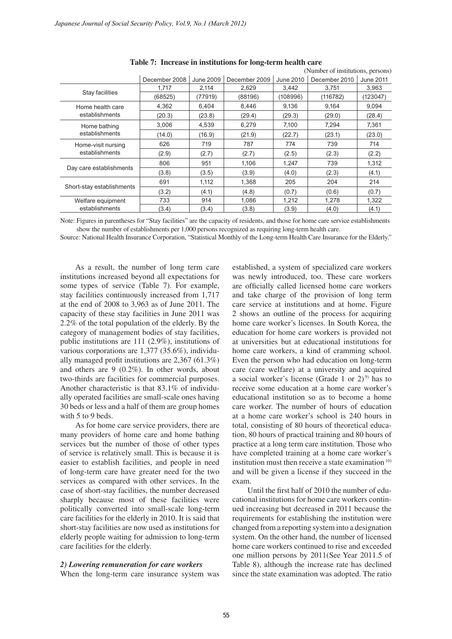|                                                                                                                                                                                                                                                                                                                                                                                                                                                                                                                                                                                                                           |               |                  | Table 7: Increase in institutions for long-term health care                                                                                                                                                                                                                                                                                                                                                                                                                                                                                           |              | (Number of institutions, persons)                                                                                                                                                                                                                                                                                                                                                                                                                                                                                                                                                                                                                                       |              |
|---------------------------------------------------------------------------------------------------------------------------------------------------------------------------------------------------------------------------------------------------------------------------------------------------------------------------------------------------------------------------------------------------------------------------------------------------------------------------------------------------------------------------------------------------------------------------------------------------------------------------|---------------|------------------|-------------------------------------------------------------------------------------------------------------------------------------------------------------------------------------------------------------------------------------------------------------------------------------------------------------------------------------------------------------------------------------------------------------------------------------------------------------------------------------------------------------------------------------------------------|--------------|-------------------------------------------------------------------------------------------------------------------------------------------------------------------------------------------------------------------------------------------------------------------------------------------------------------------------------------------------------------------------------------------------------------------------------------------------------------------------------------------------------------------------------------------------------------------------------------------------------------------------------------------------------------------------|--------------|
|                                                                                                                                                                                                                                                                                                                                                                                                                                                                                                                                                                                                                           | December 2008 | <b>June 2009</b> | December 2009                                                                                                                                                                                                                                                                                                                                                                                                                                                                                                                                         | June 2010    | December 2010                                                                                                                                                                                                                                                                                                                                                                                                                                                                                                                                                                                                                                                           | June 2011    |
|                                                                                                                                                                                                                                                                                                                                                                                                                                                                                                                                                                                                                           | 1,717         | 2,114            | 2,629                                                                                                                                                                                                                                                                                                                                                                                                                                                                                                                                                 | 3,442        | 3,751                                                                                                                                                                                                                                                                                                                                                                                                                                                                                                                                                                                                                                                                   | 3,963        |
| Stay facilities                                                                                                                                                                                                                                                                                                                                                                                                                                                                                                                                                                                                           | (68525)       | (77919)          | (88196)                                                                                                                                                                                                                                                                                                                                                                                                                                                                                                                                               | (108996)     | (116782)                                                                                                                                                                                                                                                                                                                                                                                                                                                                                                                                                                                                                                                                | (123047)     |
| Home health care                                                                                                                                                                                                                                                                                                                                                                                                                                                                                                                                                                                                          | 4,362         | 6,404            | 8,446                                                                                                                                                                                                                                                                                                                                                                                                                                                                                                                                                 | 9,136        | 9,164                                                                                                                                                                                                                                                                                                                                                                                                                                                                                                                                                                                                                                                                   | 9,094        |
| establishments                                                                                                                                                                                                                                                                                                                                                                                                                                                                                                                                                                                                            | (20.3)        | (23.8)           | (29.4)                                                                                                                                                                                                                                                                                                                                                                                                                                                                                                                                                | (29.3)       | (29.0)                                                                                                                                                                                                                                                                                                                                                                                                                                                                                                                                                                                                                                                                  | (28.4)       |
| Home bathing                                                                                                                                                                                                                                                                                                                                                                                                                                                                                                                                                                                                              | 3,006         | 4,539            | 6,279                                                                                                                                                                                                                                                                                                                                                                                                                                                                                                                                                 | 7,100        | 7,294                                                                                                                                                                                                                                                                                                                                                                                                                                                                                                                                                                                                                                                                   | 7,361        |
| establishments                                                                                                                                                                                                                                                                                                                                                                                                                                                                                                                                                                                                            | (14.0)        | (16.9)           | (21.9)                                                                                                                                                                                                                                                                                                                                                                                                                                                                                                                                                | (22.7)       | (23.1)                                                                                                                                                                                                                                                                                                                                                                                                                                                                                                                                                                                                                                                                  | (23.0)       |
| Home-visit nursing<br>establishments                                                                                                                                                                                                                                                                                                                                                                                                                                                                                                                                                                                      | 626           | 719              | 787                                                                                                                                                                                                                                                                                                                                                                                                                                                                                                                                                   | 774          | 739                                                                                                                                                                                                                                                                                                                                                                                                                                                                                                                                                                                                                                                                     | 714          |
|                                                                                                                                                                                                                                                                                                                                                                                                                                                                                                                                                                                                                           | (2.9)         | (2.7)            | (2.7)                                                                                                                                                                                                                                                                                                                                                                                                                                                                                                                                                 | (2.5)        | (2.3)                                                                                                                                                                                                                                                                                                                                                                                                                                                                                                                                                                                                                                                                   | (2.2)        |
| Day care establishments                                                                                                                                                                                                                                                                                                                                                                                                                                                                                                                                                                                                   | 806           | 951              | 1,106                                                                                                                                                                                                                                                                                                                                                                                                                                                                                                                                                 | 1,247        | 739                                                                                                                                                                                                                                                                                                                                                                                                                                                                                                                                                                                                                                                                     | 1,312        |
|                                                                                                                                                                                                                                                                                                                                                                                                                                                                                                                                                                                                                           | (3.8)<br>691  | (3.5)            | (3.9)<br>1,368                                                                                                                                                                                                                                                                                                                                                                                                                                                                                                                                        | (4.0)        | (2.3)<br>204                                                                                                                                                                                                                                                                                                                                                                                                                                                                                                                                                                                                                                                            | (4.1)        |
| Short-stay establishments                                                                                                                                                                                                                                                                                                                                                                                                                                                                                                                                                                                                 | (3.2)         | 1,112<br>(4.1)   | (4.8)                                                                                                                                                                                                                                                                                                                                                                                                                                                                                                                                                 | 205<br>(0.7) | (0.6)                                                                                                                                                                                                                                                                                                                                                                                                                                                                                                                                                                                                                                                                   | 214<br>(0.7) |
| Welfare equipment                                                                                                                                                                                                                                                                                                                                                                                                                                                                                                                                                                                                         | 733           | 914              | 1,086                                                                                                                                                                                                                                                                                                                                                                                                                                                                                                                                                 | 1,212        | 1,278                                                                                                                                                                                                                                                                                                                                                                                                                                                                                                                                                                                                                                                                   | 1,322        |
| establishments                                                                                                                                                                                                                                                                                                                                                                                                                                                                                                                                                                                                            | (3.4)         | (3.4)            | (3.8)                                                                                                                                                                                                                                                                                                                                                                                                                                                                                                                                                 | (3.9)        | (4.0)                                                                                                                                                                                                                                                                                                                                                                                                                                                                                                                                                                                                                                                                   | (4.1)        |
| at the end of $2008$ to $3,963$ as of June $2011$ . The<br>capacity of these stay facilities in June 2011 was<br>2.2% of the total population of the elderly. By the<br>category of management bodies of stay facilities,<br>public institutions are $111$ (2.9%), institutions of<br>various corporations are $1,377$ (35.6%), individu-                                                                                                                                                                                                                                                                                 |               |                  |                                                                                                                                                                                                                                                                                                                                                                                                                                                                                                                                                       |              | care service at institutions and at home. Figure<br>2 shows an outline of the process for acquiring<br>home care worker's licenses. In South Korea, the<br>education for home care workers is provided not<br>at universities but at educational institutions for<br>home care workers, a kind of cramming school.                                                                                                                                                                                                                                                                                                                                                      |              |
| ally managed profit institutions are $2,367$ (61.3%)<br>and others are $9$ (0.2%). In other words, about<br>two-thirds are facilities for commercial purposes.<br>Another characteristic is that 83.1% of individu-<br>ally operated facilities are small-scale ones having<br>30 beds or less and a half of them are group homes<br>with 5 to 9 beds.<br>As for home care service providers, there are<br>many providers of home care and home bathing<br>services but the number of those of other types<br>of service is relatively small. This is because it is<br>easier to establish facilities, and people in need |               |                  |                                                                                                                                                                                                                                                                                                                                                                                                                                                                                                                                                       |              | Even the person who had education on long-term<br>care (care welfare) at a university and acquired<br>a social worker's license (Grade 1 or 2) <sup>9)</sup> has to<br>receive some education at a home care worker's<br>educational institution so as to become a home<br>care worker. The number of hours of education<br>at a home care worker's school is 240 hours in<br>total, consisting of 80 hours of theoretical educa-<br>tion, 80 hours of practical training and 80 hours of<br>practice at a long term care institution. Those who<br>have completed training at a home care worker's<br>institution must then receive a state examination <sup>10)</sup> |              |
| of long-term care have greater need for the two<br>services as compared with other services. In the<br>case of short-stay facilities, the number decreased<br>sharply because most of these facilities were<br>politically converted into small-scale long-term<br>care facilities for the elderly in 2010. It is said that<br>short-stay facilities are now used as institutions for<br>elderly people waiting for admission to long-term<br>care facilities for the elderly.<br>2) Lowering remuneration for care workers                                                                                               |               |                  | and will be given a license if they succeed in the<br>exam.<br>Until the first half of 2010 the number of edu-<br>cational institutions for home care workers contin-<br>ued increasing but decreased in 2011 because the<br>requirements for establishing the institution were<br>changed from a reporting system into a designation<br>system. On the other hand, the number of licensed<br>home care workers continued to rise and exceeded<br>one million persons by 2011(See Year 2011.5 of<br>Table 8), although the increase rate has declined |              |                                                                                                                                                                                                                                                                                                                                                                                                                                                                                                                                                                                                                                                                         |              |
| When the long-term care insurance system was                                                                                                                                                                                                                                                                                                                                                                                                                                                                                                                                                                              |               |                  |                                                                                                                                                                                                                                                                                                                                                                                                                                                                                                                                                       |              | since the state examination was adopted. The ratio                                                                                                                                                                                                                                                                                                                                                                                                                                                                                                                                                                                                                      |              |

#### **Table 7: Increase in institutions for long-term health care**

## *2) Lowering remuneration for care workers*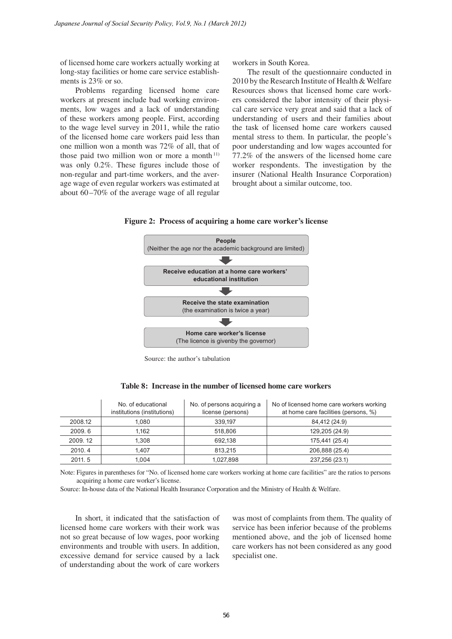of licensed home care workers actually working at long-stay facilities or home care service establishments is 23% or so.

Problems regarding licensed home care workers at present include bad working environments, low wages and a lack of understanding of these workers among people. First, according to the wage level survey in 2011, while the ratio of the licensed home care workers paid less than one million won a month was 72% of all, that of those paid two million won or more a month $11$ ) was only 0.2%. These figures include those of non-regular and part-time workers, and the average wage of even regular workers was estimated at about  $60 - 70\%$  of the average wage of all regular *Japanese Journal of Social Security Policy, Vol.2, No.1 (March 2012)*<br>
of licensed borne care vevrices actually working at<br>
long-stay facilities or home care service establishments is<br>
276 or 6.<br>
Droblems regarding licens

workers in South Korea.

The result of the questionnaire conducted in 2010 by the Research Institute of Health & Welfare Resources shows that licensed home care workers considered the labor intensity of their physical care service very great and said that a lack of understanding of users and their families about the task of licensed home care workers caused mental stress to them. In particular, the people's poor understanding and low wages accounted for 77.2% of the answers of the licensed home care worker respondents. The investigation by the insurer (National Health Insurance Corporation) brought about a similar outcome, too.





Source: the author's tabulation

|         | No. of educational<br>institutions (institutions) | No. of persons acquiring a<br>license (persons) | No of licensed home care workers working<br>at home care facilities (persons, %) |
|---------|---------------------------------------------------|-------------------------------------------------|----------------------------------------------------------------------------------|
| 2008.12 | 1.080                                             | 339.197                                         | 84,412 (24.9)                                                                    |
| 2009.6  | 1.162                                             | 518,806                                         | 129,205 (24.9)                                                                   |
| 2009.12 | 1.308                                             | 692.138                                         | 175,441 (25.4)                                                                   |
| 2010.4  | 1.407                                             | 813.215                                         | 206,888 (25.4)                                                                   |
| 2011.5  | 1.004                                             | 1.027.898                                       | 237,256 (23.1)                                                                   |

**Table 8: Increase in the number of licensed home care workers**

Note: Figures in parentheses for "No. of licensed home care workers working at home care facilities" are the ratios to persons acquiring a home care worker's license.

Source: In-house data of the National Health Insurance Corporation and the Ministry of Health & Welfare.

In short, it indicated that the satisfaction of licensed home care workers with their work was not so great because of low wages, poor working environments and trouble with users. In addition, excessive demand for service caused by a lack of understanding about the work of care workers

was most of complaints from them. The quality of service has been inferior because of the problems mentioned above, and the job of licensed home care workers has not been considered as any good specialist one.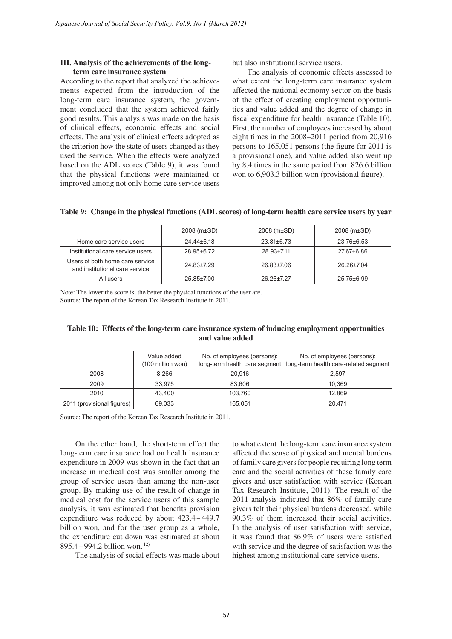### **III. Analysis of the achievements of the longterm care insurance system**

According to the report that analyzed the achievements expected from the introduction of the long-term care insurance system, the government concluded that the system achieved fairly good results. This analysis was made on the basis of clinical effects, economic effects and social effects. The analysis of clinical effects adopted as the criterion how the state of users changed as they used the service. When the effects were analyzed based on the ADL scores (Table 9), it was found that the physical functions were maintained or improved among not only home care service users *Japanese Journal of Social Security Policy, Yol.2, No.1 (March 2012)*<br> **III.** Analysis of the achievements of the long-<br>
term care insurance system<br>
means expected from the analyzed the achieve-<br>
means expected from the

but also institutional service users.

The analysis of economic effects assessed to what extent the long-term care insurance system affected the national economy sector on the basis of the effect of creating employment opportunities and value added and the degree of change in fiscal expenditure for health insurance (Table 10). First, the number of employees increased by about eight times in the 2008–2011 period from 20,916 persons to 165,051 persons (the figure for 2011 is a provisional one), and value added also went up by 8.4 times in the same period from 826.6 billion won to 6,903.3 billion won (provisional figure).

|                                                                   | $2008$ (m $\pm$ SD) | $2008$ (m $\pm$ SD) | $2008$ (m $\pm$ SD) |
|-------------------------------------------------------------------|---------------------|---------------------|---------------------|
| Home care service users                                           | 24.44±6.18          | $23.81 \pm 6.73$    | 23.76±6.53          |
| Institutional care service users                                  | 28 95+6 72          | 28 93+711           | 27.67±6.86          |
| Users of both home care service<br>and institutional care service | 24.83±7.29          | 26.83±7.06          | 26 26+7 04          |
| All users                                                         | 25.85±7.00          | 26 26+7 27          | $25.75 \pm 6.99$    |

#### **Table 9: Change in the physical functions (ADL scores) of long-term health care service users by year**

Note: The lower the score is, the better the physical functions of the user are. Source: The report of the Korean Tax Research Institute in 2011.

# **Table 10: Effects of the long-term care insurance system of inducing employment opportunities and value added**

|                            | Value added<br>(100 million won) | No. of employees (persons): | No. of employees (persons):<br>long-term health care segment   long-term health care-related segment |
|----------------------------|----------------------------------|-----------------------------|------------------------------------------------------------------------------------------------------|
| 2008                       | 8.266                            | 20.916                      | 2.597                                                                                                |
| 2009                       | 33,975                           | 83.606                      | 10.369                                                                                               |
| 2010                       | 43.400                           | 103.760                     | 12.869                                                                                               |
| 2011 (provisional figures) | 69,033                           | 165,051                     | 20,471                                                                                               |

Source: The report of the Korean Tax Research Institute in 2011.

On the other hand, the short-term effect the long-term care insurance had on health insurance expenditure in 2009 was shown in the fact that an increase in medical cost was smaller among the group of service users than among the non-user group. By making use of the result of change in medical cost for the service users of this sample analysis, it was estimated that benefits provision expenditure was reduced by about  $423.4 - 449.7$ billion won, and for the user group as a whole, the expenditure cut down was estimated at about 895.4 – 994.2 billion won. 12)

The analysis of social effects was made about

to what extent the long-term care insurance system affected the sense of physical and mental burdens of family care givers for people requiring long term care and the social activities of these family care givers and user satisfaction with service (Korean Tax Research Institute, 2011). The result of the 2011 analysis indicated that 86% of family care givers felt their physical burdens decreased, while 90.3% of them increased their social activities. In the analysis of user satisfaction with service, it was found that 86.9% of users were satisfied with service and the degree of satisfaction was the highest among institutional care service users.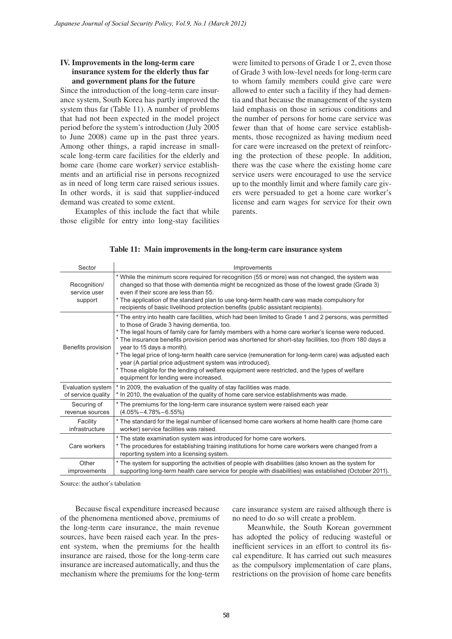## **IV. Improvements in the long-term care insurance system for the elderly thus far and government plans for the future**

|                                         | IV. Improvements in the long-term care<br>insurance system for the elderly thus far                                                                                                                                                                                                                                                                                                                                                                                                                                                                                                                                                                                          | were limited to persons of Grade 1 or 2, even those<br>of Grade 3 with low-level needs for long-term care<br>to whom family members could give care were<br>allowed to enter such a facility if they had demen-<br>tia and that because the management of the system<br>laid emphasis on those in serious conditions and                                                                                                                                                      |  |  |  |  |  |
|-----------------------------------------|------------------------------------------------------------------------------------------------------------------------------------------------------------------------------------------------------------------------------------------------------------------------------------------------------------------------------------------------------------------------------------------------------------------------------------------------------------------------------------------------------------------------------------------------------------------------------------------------------------------------------------------------------------------------------|-------------------------------------------------------------------------------------------------------------------------------------------------------------------------------------------------------------------------------------------------------------------------------------------------------------------------------------------------------------------------------------------------------------------------------------------------------------------------------|--|--|--|--|--|
|                                         | and government plans for the future<br>Since the introduction of the long-term care insur-<br>ance system, South Korea has partly improved the<br>system thus far (Table 11). A number of problems                                                                                                                                                                                                                                                                                                                                                                                                                                                                           |                                                                                                                                                                                                                                                                                                                                                                                                                                                                               |  |  |  |  |  |
|                                         | that had not been expected in the model project<br>period before the system's introduction (July 2005)<br>to June 2008) came up in the past three years.<br>Among other things, a rapid increase in small-<br>scale long-term care facilities for the elderly and<br>home care (home care worker) service establish-<br>ments and an artificial rise in persons recognized<br>as in need of long term care raised serious issues.<br>In other words, it is said that supplier-induced                                                                                                                                                                                        | the number of persons for home care service was<br>fewer than that of home care service establish-<br>ments, those recognized as having medium need<br>for care were increased on the pretext of reinforc-<br>ing the protection of these people. In addition,<br>there was the case where the existing home care<br>service users were encouraged to use the service<br>up to the monthly limit and where family care giv-<br>ers were persuaded to get a home care worker's |  |  |  |  |  |
|                                         | demand was created to some extent.<br>Examples of this include the fact that while<br>those eligible for entry into long-stay facilities                                                                                                                                                                                                                                                                                                                                                                                                                                                                                                                                     | license and earn wages for service for their own<br>parents.                                                                                                                                                                                                                                                                                                                                                                                                                  |  |  |  |  |  |
|                                         |                                                                                                                                                                                                                                                                                                                                                                                                                                                                                                                                                                                                                                                                              | Table 11: Main improvements in the long-term care insurance system                                                                                                                                                                                                                                                                                                                                                                                                            |  |  |  |  |  |
| Sector                                  |                                                                                                                                                                                                                                                                                                                                                                                                                                                                                                                                                                                                                                                                              | Improvements<br>* While the minimum score required for recognition (55 or more) was not changed, the system was                                                                                                                                                                                                                                                                                                                                                               |  |  |  |  |  |
| Recognition/<br>service user<br>support | even if their score are less than 55.<br>recipients of basic livelihood protection benefits (public assistant recipients).                                                                                                                                                                                                                                                                                                                                                                                                                                                                                                                                                   | changed so that those with dementia might be recognized as those of the lowest grade (Grade 3)<br>* The application of the standard plan to use long-term health care was made compulsory for                                                                                                                                                                                                                                                                                 |  |  |  |  |  |
| Benefits provision                      | * The entry into health care facilities, which had been limited to Grade 1 and 2 persons, was permitted<br>to those of Grade 3 having dementia, too.<br>* The legal hours of family care for family members with a home care worker's license were reduced.<br>* The insurance benefits provision period was shortened for short-stay facilities, too (from 180 days a<br>year to 15 days a month).<br>* The legal price of long-term health care service (remuneration for long-term care) was adjusted each<br>year (A partial price adjustment system was introduced).<br>* Those eligible for the lending of welfare equipment were restricted, and the types of welfare |                                                                                                                                                                                                                                                                                                                                                                                                                                                                               |  |  |  |  |  |
| Evaluation system<br>of service quality | equipment for lending were increased.<br>* In 2009, the evaluation of the quality of stay facilities was made.<br>* In 2010, the evaluation of the quality of home care service establishments was made.                                                                                                                                                                                                                                                                                                                                                                                                                                                                     |                                                                                                                                                                                                                                                                                                                                                                                                                                                                               |  |  |  |  |  |
| Securing of<br>revenue sources          | * The premiums for the long-term care insurance system were raised each year<br>$(4.05\% - 4.78\% - 6.55\%)$                                                                                                                                                                                                                                                                                                                                                                                                                                                                                                                                                                 |                                                                                                                                                                                                                                                                                                                                                                                                                                                                               |  |  |  |  |  |
| Facility<br>infrastructure              | worker) service facilities was raised.                                                                                                                                                                                                                                                                                                                                                                                                                                                                                                                                                                                                                                       | * The standard for the legal number of licensed home care workers at home health care (home care                                                                                                                                                                                                                                                                                                                                                                              |  |  |  |  |  |
| Care workers                            | * The state examination system was introduced for home care workers.<br>* The procedures for establishing training institutions for home care workers were changed from a<br>reporting system into a licensing system.                                                                                                                                                                                                                                                                                                                                                                                                                                                       |                                                                                                                                                                                                                                                                                                                                                                                                                                                                               |  |  |  |  |  |
| Other<br>improvements                   | * The system for supporting the activities of people with disabilities (also known as the system for<br>supporting long-term health care service for people with disabilities) was established (October 2011).                                                                                                                                                                                                                                                                                                                                                                                                                                                               |                                                                                                                                                                                                                                                                                                                                                                                                                                                                               |  |  |  |  |  |
| Source: the author's tabulation         |                                                                                                                                                                                                                                                                                                                                                                                                                                                                                                                                                                                                                                                                              |                                                                                                                                                                                                                                                                                                                                                                                                                                                                               |  |  |  |  |  |
|                                         | Because fiscal expenditure increased because<br>of the phenomena mentioned above, premiums of<br>the long-term care insurance, the main revenue                                                                                                                                                                                                                                                                                                                                                                                                                                                                                                                              | care insurance system are raised although there is<br>no need to do so will create a problem.<br>Meanwhile, the South Korean government                                                                                                                                                                                                                                                                                                                                       |  |  |  |  |  |

|  |  |  | Table 11: Main improvements in the long-term care insurance system |  |
|--|--|--|--------------------------------------------------------------------|--|
|  |  |  |                                                                    |  |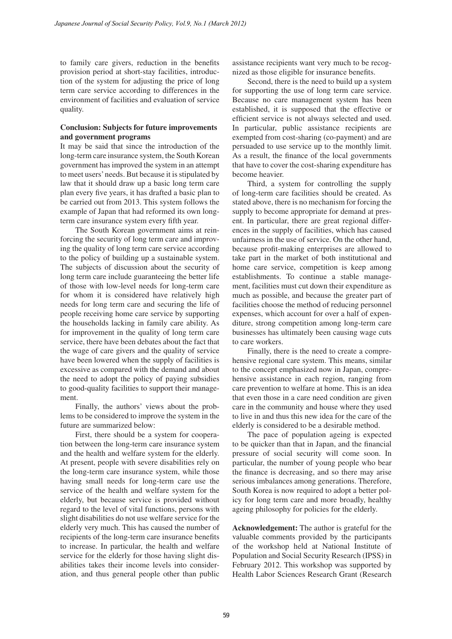to family care givers, reduction in the benefits provision period at short-stay facilities, introduction of the system for adjusting the price of long term care service according to differences in the environment of facilities and evaluation of service quality.

# **Conclusion: Subjects for future improvements and government programs**

It may be said that since the introduction of the long-term care insurance system, the South Korean government has improved the system in an attempt to meet users' needs. But because it is stipulated by law that it should draw up a basic long term care plan every five years, it has drafted a basic plan to be carried out from 2013. This system follows the example of Japan that had reformed its own longterm care insurance system every fifth year.

The South Korean government aims at reinforcing the security of long term care and improving the quality of long term care service according to the policy of building up a sustainable system. The subjects of discussion about the security of long term care include guaranteeing the better life of those with low-level needs for long-term care for whom it is considered have relatively high needs for long term care and securing the life of people receiving home care service by supporting the households lacking in family care ability. As for improvement in the quality of long term care service, there have been debates about the fact that the wage of care givers and the quality of service have been lowered when the supply of facilities is excessive as compared with the demand and about the need to adopt the policy of paying subsidies to good-quality facilities to support their management. *Japanese Journal of Social Security Policy, Vol.2, No.1 (March 2012)*<br>to family care givers, reduction in the benefits assign provision period at short-stay facilities, introduce nize<br>provision period at short-stay facili

Finally, the authors' views about the problems to be considered to improve the system in the future are summarized below:

First, there should be a system for cooperation between the long-term care insurance system and the health and welfare system for the elderly. At present, people with severe disabilities rely on the long-term care insurance system, while those having small needs for long-term care use the service of the health and welfare system for the elderly, but because service is provided without regard to the level of vital functions, persons with slight disabilities do not use welfare service for the elderly very much. This has caused the number of recipients of the long-term care insurance benefits to increase. In particular, the health and welfare service for the elderly for those having slight disabilities takes their income levels into consideration, and thus general people other than public assistance recipients want very much to be recognized as those eligible for insurance benefits.

Second, there is the need to build up a system for supporting the use of long term care service. Because no care management system has been established, it is supposed that the effective or efficient service is not always selected and used. In particular, public assistance recipients are exempted from cost-sharing (co-payment) and are persuaded to use service up to the monthly limit. As a result, the finance of the local governments that have to cover the cost-sharing expenditure has become heavier.

Third, a system for controlling the supply of long-term care facilities should be created. As stated above, there is no mechanism for forcing the supply to become appropriate for demand at present. In particular, there are great regional differences in the supply of facilities, which has caused unfairness in the use of service. On the other hand, because profit-making enterprises are allowed to take part in the market of both institutional and home care service, competition is keep among establishments. To continue a stable management, facilities must cut down their expenditure as much as possible, and because the greater part of facilities choose the method of reducing personnel expenses, which account for over a half of expenditure, strong competition among long-term care businesses has ultimately been causing wage cuts to care workers.

Finally, there is the need to create a comprehensive regional care system. This means, similar to the concept emphasized now in Japan, comprehensive assistance in each region, ranging from care prevention to welfare at home. This is an idea that even those in a care need condition are given care in the community and house where they used to live in and thus this new idea for the care of the elderly is considered to be a desirable method.

The pace of population ageing is expected to be quicker than that in Japan, and the financial pressure of social security will come soon. In particular, the number of young people who bear the finance is decreasing, and so there may arise serious imbalances among generations. Therefore, South Korea is now required to adopt a better policy for long term care and more broadly, healthy ageing philosophy for policies for the elderly.

**Acknowledgement:** The author is grateful for the valuable comments provided by the participants of the workshop held at National Institute of Population and Social Security Research (IPSS) in February 2012. This workshop was supported by Health Labor Sciences Research Grant (Research